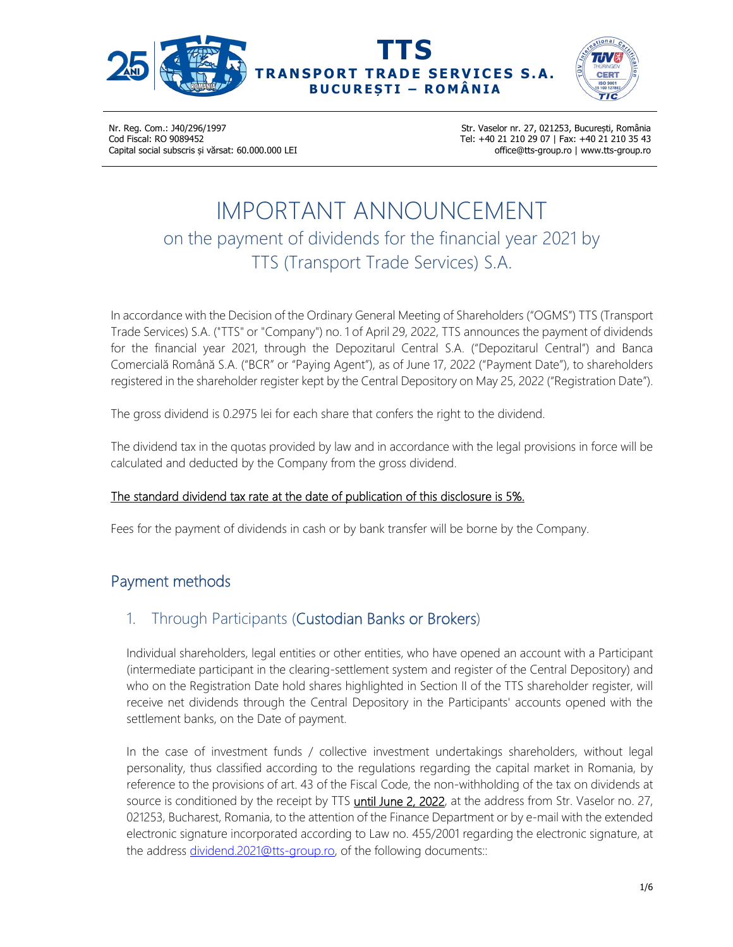



Str. Vaselor nr. 27, 021253, București, România Tel: +40 21 210 29 07 | Fax: +40 21 210 35 43 office@tts-group.ro | www.tts-group.ro

# IMPORTANT ANNOUNCEMENT on the payment of dividends for the financial year 2021 by TTS (Transport Trade Services) S.A.

In accordance with the Decision of the Ordinary General Meeting of Shareholders ("OGMS") TTS (Transport Trade Services) S.A. ("TTS" or "Company") no. 1 of April 29, 2022, TTS announces the payment of dividends for the financial year 2021, through the Depozitarul Central S.A. ("Depozitarul Central") and Banca Comercială Română S.A. ("BCR" or "Paying Agent"), as of June 17, 2022 ("Payment Date"), to shareholders registered in the shareholder register kept by the Central Depository on May 25, 2022 ("Registration Date").

The gross dividend is 0.2975 lei for each share that confers the right to the dividend.

The dividend tax in the quotas provided by law and in accordance with the legal provisions in force will be calculated and deducted by the Company from the gross dividend.

#### The standard dividend tax rate at the date of publication of this disclosure is 5%.

Fees for the payment of dividends in cash or by bank transfer will be borne by the Company.

# Payment methods

#### 1. Through Participants (Custodian Banks or Brokers)

Individual shareholders, legal entities or other entities, who have opened an account with a Participant (intermediate participant in the clearing-settlement system and register of the Central Depository) and who on the Registration Date hold shares highlighted in Section II of the TTS shareholder register, will receive net dividends through the Central Depository in the Participants' accounts opened with the settlement banks, on the Date of payment.

In the case of investment funds / collective investment undertakings shareholders, without legal personality, thus classified according to the regulations regarding the capital market in Romania, by reference to the provisions of art. 43 of the Fiscal Code, the non-withholding of the tax on dividends at source is conditioned by the receipt by TTS until June 2, 2022, at the address from Str. Vaselor no. 27, 021253, Bucharest, Romania, to the attention of the Finance Department or by e-mail with the extended electronic signature incorporated according to Law no. 455/2001 regarding the electronic signature, at the address dividend.2021@tts-group.ro, of the following documents::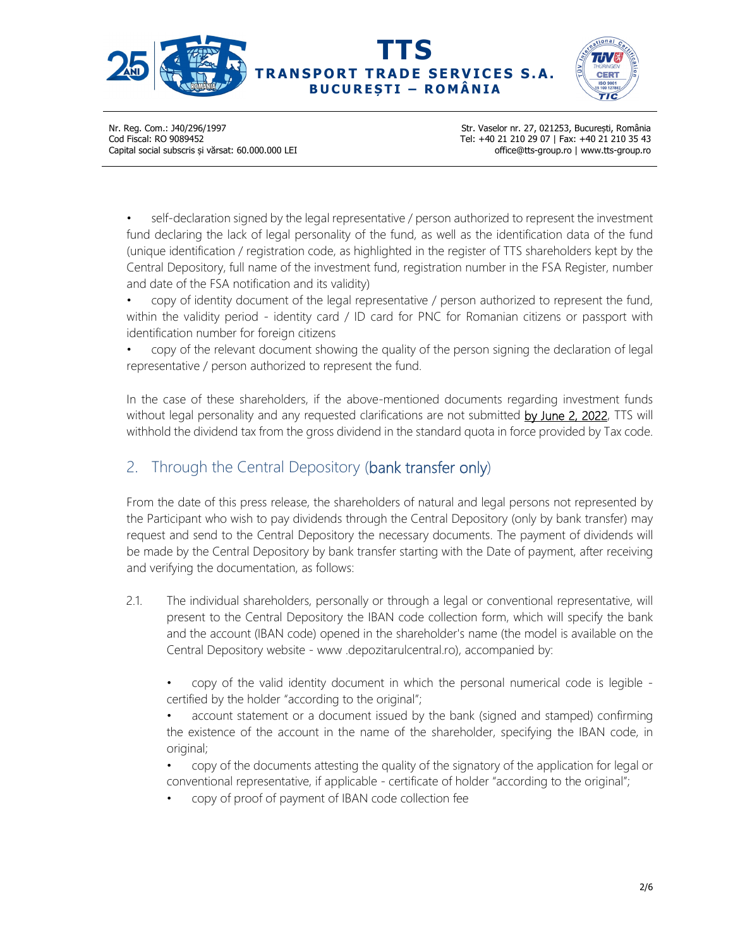



Str. Vaselor nr. 27, 021253, București, România Tel: +40 21 210 29 07 | Fax: +40 21 210 35 43 office@tts-group.ro | www.tts-group.ro

self-declaration signed by the legal representative / person authorized to represent the investment fund declaring the lack of legal personality of the fund, as well as the identification data of the fund (unique identification / registration code, as highlighted in the register of TTS shareholders kept by the Central Depository, full name of the investment fund, registration number in the FSA Register, number and date of the FSA notification and its validity)

• copy of identity document of the legal representative / person authorized to represent the fund, within the validity period - identity card / ID card for PNC for Romanian citizens or passport with identification number for foreign citizens

• copy of the relevant document showing the quality of the person signing the declaration of legal representative / person authorized to represent the fund.

In the case of these shareholders, if the above-mentioned documents regarding investment funds without legal personality and any requested clarifications are not submitted by June 2, 2022, TTS will withhold the dividend tax from the gross dividend in the standard quota in force provided by Tax code.

## 2. Through the Central Depository (bank transfer only)

From the date of this press release, the shareholders of natural and legal persons not represented by the Participant who wish to pay dividends through the Central Depository (only by bank transfer) may request and send to the Central Depository the necessary documents. The payment of dividends will be made by the Central Depository by bank transfer starting with the Date of payment, after receiving and verifying the documentation, as follows:

- 2.1. The individual shareholders, personally or through a legal or conventional representative, will present to the Central Depository the IBAN code collection form, which will specify the bank and the account (IBAN code) opened in the shareholder's name (the model is available on the Central Depository website - www .depozitarulcentral.ro), accompanied by:
	- copy of the valid identity document in which the personal numerical code is legible certified by the holder "according to the original";

• account statement or a document issued by the bank (signed and stamped) confirming the existence of the account in the name of the shareholder, specifying the IBAN code, in original;

- copy of the documents attesting the quality of the signatory of the application for legal or conventional representative, if applicable - certificate of holder "according to the original";
- copy of proof of payment of IBAN code collection fee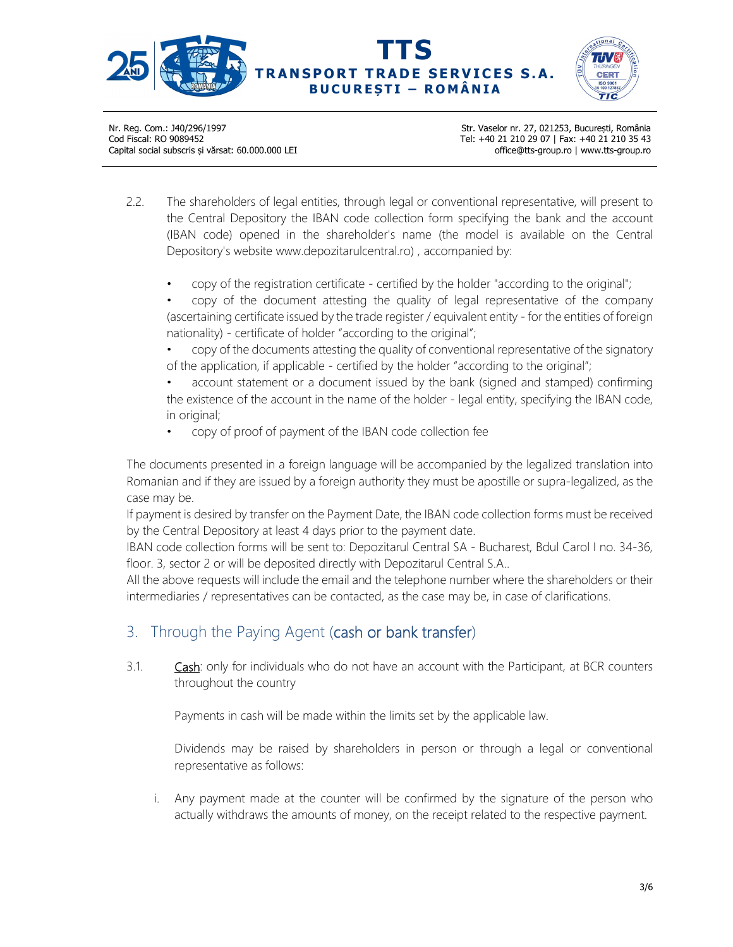



Str. Vaselor nr. 27, 021253, București, România Tel: +40 21 210 29 07 | Fax: +40 21 210 35 43 office@tts-group.ro | www.tts-group.ro

- 2.2. The shareholders of legal entities, through legal or conventional representative, will present to the Central Depository the IBAN code collection form specifying the bank and the account (IBAN code) opened in the shareholder's name (the model is available on the Central Depository's website www.depozitarulcentral.ro) , accompanied by:
	- copy of the registration certificate certified by the holder "according to the original";
	- copy of the document attesting the quality of legal representative of the company (ascertaining certificate issued by the trade register / equivalent entity - for the entities of foreign nationality) - certificate of holder "according to the original";
	- copy of the documents attesting the quality of conventional representative of the signatory of the application, if applicable - certified by the holder "according to the original";
	- account statement or a document issued by the bank (signed and stamped) confirming the existence of the account in the name of the holder - legal entity, specifying the IBAN code, in original;
	- copy of proof of payment of the IBAN code collection fee

The documents presented in a foreign language will be accompanied by the legalized translation into Romanian and if they are issued by a foreign authority they must be apostille or supra-legalized, as the case may be.

If payment is desired by transfer on the Payment Date, the IBAN code collection forms must be received by the Central Depository at least 4 days prior to the payment date.

IBAN code collection forms will be sent to: Depozitarul Central SA - Bucharest, Bdul Carol I no. 34-36, floor. 3, sector 2 or will be deposited directly with Depozitarul Central S.A..

All the above requests will include the email and the telephone number where the shareholders or their intermediaries / representatives can be contacted, as the case may be, in case of clarifications.

#### 3. Through the Paying Agent (cash or bank transfer)

3.1. **Cash:** only for individuals who do not have an account with the Participant, at BCR counters throughout the country

Payments in cash will be made within the limits set by the applicable law.

Dividends may be raised by shareholders in person or through a legal or conventional representative as follows:

i. Any payment made at the counter will be confirmed by the signature of the person who actually withdraws the amounts of money, on the receipt related to the respective payment.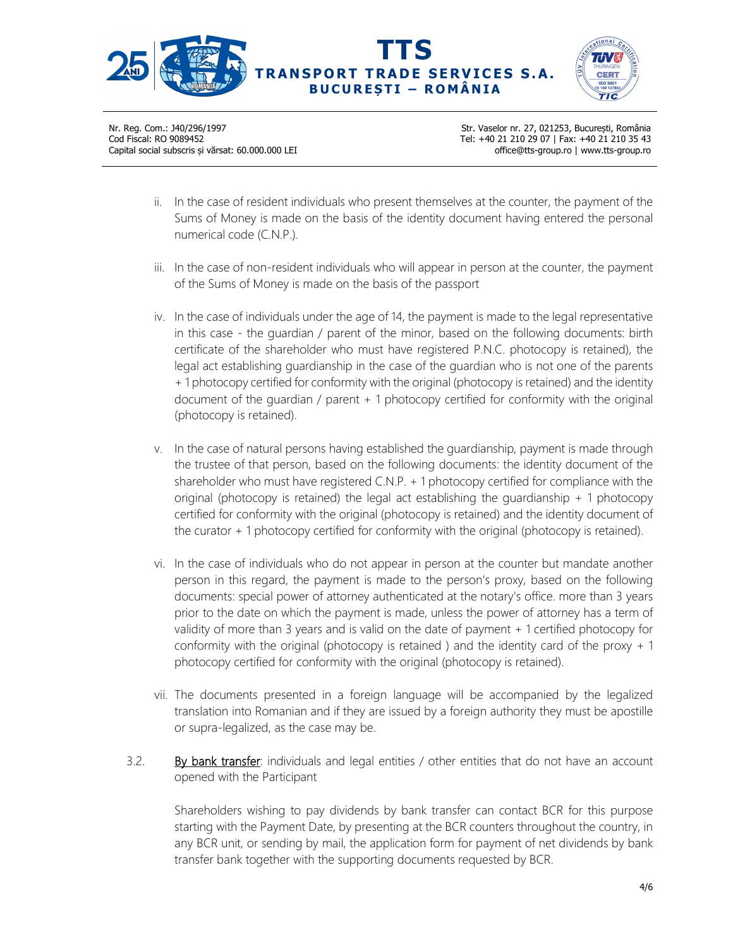



Str. Vaselor nr. 27, 021253, București, România Tel: +40 21 210 29 07 | Fax: +40 21 210 35 43 office@tts-group.ro | www.tts-group.ro

- ii. In the case of resident individuals who present themselves at the counter, the payment of the Sums of Money is made on the basis of the identity document having entered the personal numerical code (C.N.P.).
- iii. In the case of non-resident individuals who will appear in person at the counter, the payment of the Sums of Money is made on the basis of the passport
- iv. In the case of individuals under the age of 14, the payment is made to the legal representative in this case - the guardian / parent of the minor, based on the following documents: birth certificate of the shareholder who must have registered P.N.C. photocopy is retained), the legal act establishing guardianship in the case of the guardian who is not one of the parents + 1 photocopy certified for conformity with the original (photocopy is retained) and the identity document of the guardian / parent + 1 photocopy certified for conformity with the original (photocopy is retained).
- v. In the case of natural persons having established the guardianship, payment is made through the trustee of that person, based on the following documents: the identity document of the shareholder who must have registered C.N.P. + 1 photocopy certified for compliance with the original (photocopy is retained) the legal act establishing the quardianship  $+1$  photocopy certified for conformity with the original (photocopy is retained) and the identity document of the curator + 1 photocopy certified for conformity with the original (photocopy is retained).
- vi. In the case of individuals who do not appear in person at the counter but mandate another person in this regard, the payment is made to the person's proxy, based on the following documents: special power of attorney authenticated at the notary's office. more than 3 years prior to the date on which the payment is made, unless the power of attorney has a term of validity of more than 3 years and is valid on the date of payment + 1 certified photocopy for conformity with the original (photocopy is retained) and the identity card of the proxy  $+1$ photocopy certified for conformity with the original (photocopy is retained).
- vii. The documents presented in a foreign language will be accompanied by the legalized translation into Romanian and if they are issued by a foreign authority they must be apostille or supra-legalized, as the case may be.
- 3.2. By bank transfer: individuals and legal entities  $\ell$  other entities that do not have an account opened with the Participant

Shareholders wishing to pay dividends by bank transfer can contact BCR for this purpose starting with the Payment Date, by presenting at the BCR counters throughout the country, in any BCR unit, or sending by mail, the application form for payment of net dividends by bank transfer bank together with the supporting documents requested by BCR.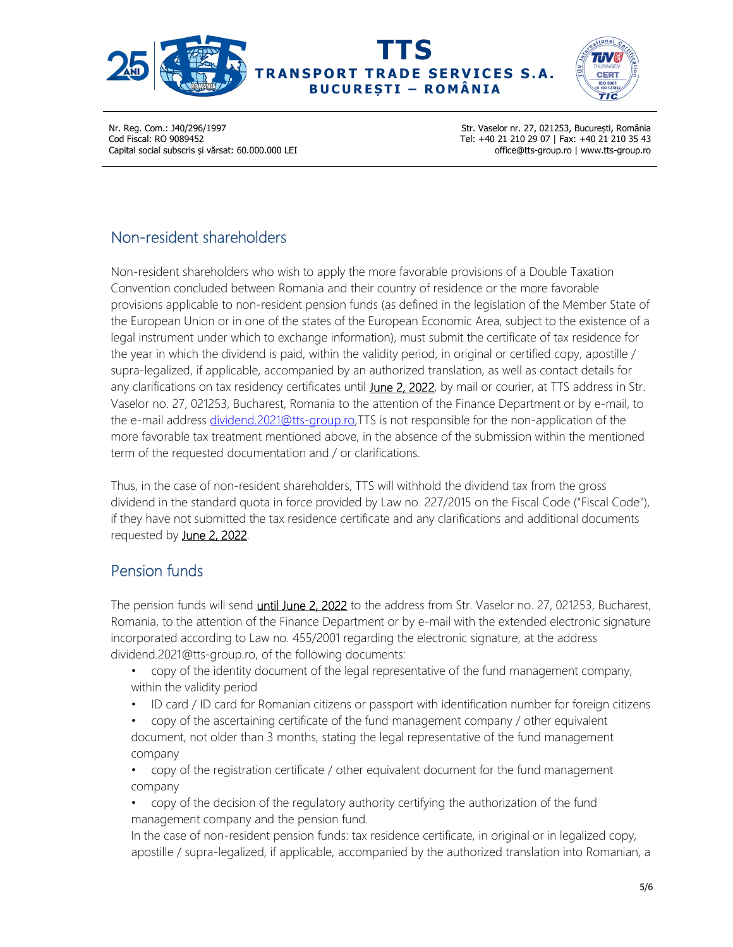

**TTS RANSPORT TRADE SERVICES S.A. B U C U R E Ș T I – R O M Â N I A** 



Nr. Reg. Com.: J40/296/1997 Cod Fiscal: RO 9089452 Capital social subscris și vărsat: 60.000.000 LEI Str. Vaselor nr. 27, 021253, București, România Tel: +40 21 210 29 07 | Fax: +40 21 210 35 43 office@tts-group.ro | www.tts-group.ro

### Non-resident shareholders

Non-resident shareholders who wish to apply the more favorable provisions of a Double Taxation Convention concluded between Romania and their country of residence or the more favorable provisions applicable to non-resident pension funds (as defined in the legislation of the Member State of the European Union or in one of the states of the European Economic Area, subject to the existence of a legal instrument under which to exchange information), must submit the certificate of tax residence for the year in which the dividend is paid, within the validity period, in original or certified copy, apostille / supra-legalized, if applicable, accompanied by an authorized translation, as well as contact details for any clarifications on tax residency certificates until June 2, 2022, by mail or courier, at TTS address in Str. Vaselor no. 27, 021253, Bucharest, Romania to the attention of the Finance Department or by e-mail, to the e-mail address dividend.2021@tts-group.ro,TTS is not responsible for the non-application of the more favorable tax treatment mentioned above, in the absence of the submission within the mentioned term of the requested documentation and / or clarifications.

Thus, in the case of non-resident shareholders, TTS will withhold the dividend tax from the gross dividend in the standard quota in force provided by Law no. 227/2015 on the Fiscal Code ("Fiscal Code"), if they have not submitted the tax residence certificate and any clarifications and additional documents requested by June 2, 2022.

# Pension funds

The pension funds will send *until June 2, 2022* to the address from Str. Vaselor no. 27, 021253, Bucharest, Romania, to the attention of the Finance Department or by e-mail with the extended electronic signature incorporated according to Law no. 455/2001 regarding the electronic signature, at the address dividend.2021@tts-group.ro, of the following documents:

- copy of the identity document of the legal representative of the fund management company, within the validity period
- ID card / ID card for Romanian citizens or passport with identification number for foreign citizens
- copy of the ascertaining certificate of the fund management company / other equivalent document, not older than 3 months, stating the legal representative of the fund management company
- copy of the registration certificate / other equivalent document for the fund management company
- copy of the decision of the regulatory authority certifying the authorization of the fund management company and the pension fund.

In the case of non-resident pension funds: tax residence certificate, in original or in legalized copy, apostille / supra-legalized, if applicable, accompanied by the authorized translation into Romanian, a